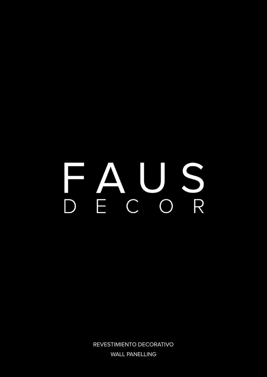# AUS FA  $\overline{\phantom{a}}$

REVESTIMIENTO DECORATIVO WALL PANELLING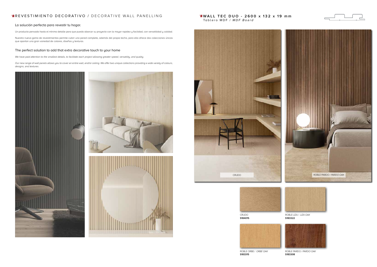# **EREVESTIMIENTO DECORATIVO / DECORATIVE WALL PANELLING**

### La solución perfecta para revestir tu hogar.

Un producto pensado hasta el mínimo detalle para que pueda abarcar su proyecto con la mayor rapidez y facilidad, con versatilidad y calidad.

Nuestra nueva gama de revestimientos permite cubrir una pared completa, además del propio techo, para ello ofrece dos colecciones únicas que aportan una gran variedad de colores, diseños y texturas.

### The perfect solution to add that extra decorative touch to your home

We have paid attention to the smallest details, to facilitate each project allowing greater speed, versatility, and quality.

**WALL TEC DUO - 2600 x 132 x 19 mm** Tablero MDF / MDF Board

Our new range of wall panels allows you to cover an entire wall, and/or ceiling. We offer two unique collections providing a wide variety of colours, designs, and textures.





CRUDO **S184015**



ROBLE ORBE / ORBE OAK **S183315**



ROBLE PARDO / PARDO OAK **S183308**



ROBLE LIZA / LIZA OAK **S183322**



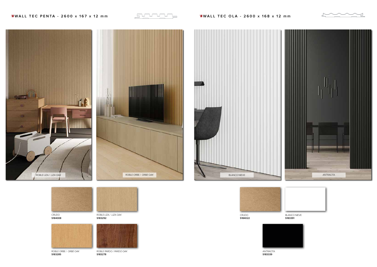CRUDO **S184008**



ROBLE ORBE / ORBE OAK **S183285**

ROBLE PARDO / PARDO OAK **S183278**



**ANTRACITA S183339**



ROBLE LIZA / LIZA OAK **S183292**





CRUDO **S184022**





# **WALL TEC PENTA** - 2600 x 167 x 12 mm **Matter Strategier Collect Collect A** and the set of the set of the set of the set of the set of the set of the set of the set of the set of the set of the set of the set of the set of



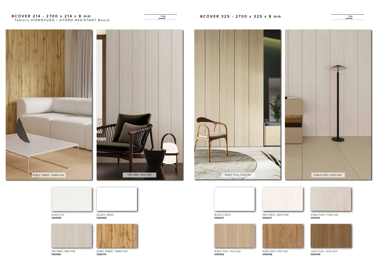BLANCO NIEVE **S183407**



**S183599**



ROBLE TEVA / TEVA OAK **S183452**



ROBLE PURO / PURO OAK **S183414**

PINO BIRKI / BIRKI PINE **S183483**

ROBLE TIMBER / TIMBER OAK **S183476**









OLMO SUKIL / SUKIL ELM **S183445**

**Extending the COVER 214 - 2700 x 214 x 8 mm** Tablero HIDRÓFUGO / HYDRO-RESISTANT Board



PINO NIEVE / NIEVE PINE **S183421**





BLANCO 48093 **S183469**



ROBLE IRATI / IRATI OAK **S183438**



كا